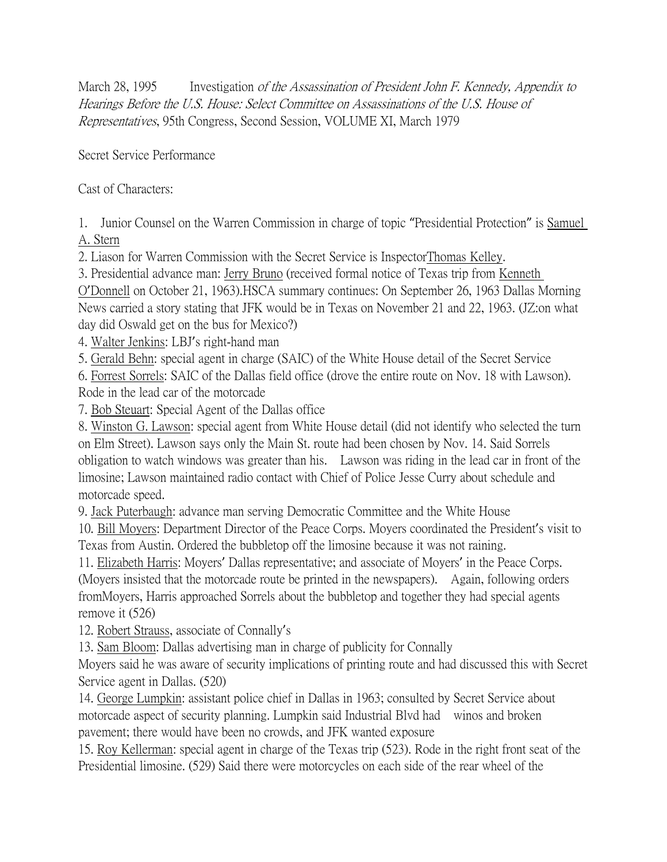March 28, 1995 Investigation of the Assassination of President John F. Kennedy, Appendix to Hearings Before the U.S. House: Select Committee on Assassinations of the U.S. House of Representatives, 95th Congress, Second Session, VOLUME XI, March 1979

Secret Service Performance

Cast of Characters:

1. Junior Counsel on the Warren Commission in charge of topic "Presidential Protection" is Samuel A. Stern

2. Liason for Warren Commission with the Secret Service is InspectorThomas Kelley.

3. Presidential advance man: Jerry Bruno (received formal notice of Texas trip from Kenneth O'Donnell on October 21, 1963).HSCA summary continues: On September 26, 1963 Dallas Morning News carried a story stating that JFK would be in Texas on November 21 and 22, 1963. (JZ:on what day did Oswald get on the bus for Mexico?)

4. Walter Jenkins: LBJ's right-hand man

5. Gerald Behn: special agent in charge (SAIC) of the White House detail of the Secret Service

6. Forrest Sorrels: SAIC of the Dallas field office (drove the entire route on Nov. 18 with Lawson). Rode in the lead car of the motorcade

7. Bob Steuart: Special Agent of the Dallas office

8. Winston G. Lawson: special agent from White House detail (did not identify who selected the turn on Elm Street). Lawson says only the Main St. route had been chosen by Nov. 14. Said Sorrels obligation to watch windows was greater than his. Lawson was riding in the lead car in front of the limosine; Lawson maintained radio contact with Chief of Police Jesse Curry about schedule and motorcade speed.

9. Jack Puterbaugh: advance man serving Democratic Committee and the White House

10. Bill Moyers: Department Director of the Peace Corps. Moyers coordinated the President's visit to Texas from Austin. Ordered the bubbletop off the limosine because it was not raining.

11. Elizabeth Harris: Moyers' Dallas representative; and associate of Moyers' in the Peace Corps. (Moyers insisted that the motorcade route be printed in the newspapers). Again, following orders

fromMoyers, Harris approached Sorrels about the bubbletop and together they had special agents remove it (526)

12. Robert Strauss, associate of Connally's

13. Sam Bloom: Dallas advertising man in charge of publicity for Connally

Moyers said he was aware of security implications of printing route and had discussed this with Secret Service agent in Dallas. (520)

14. George Lumpkin: assistant police chief in Dallas in 1963; consulted by Secret Service about motorcade aspect of security planning. Lumpkin said Industrial Blvd had winos and broken pavement; there would have been no crowds, and JFK wanted exposure

15. Roy Kellerman: special agent in charge of the Texas trip (523). Rode in the right front seat of the Presidential limosine. (529) Said there were motorcycles on each side of the rear wheel of the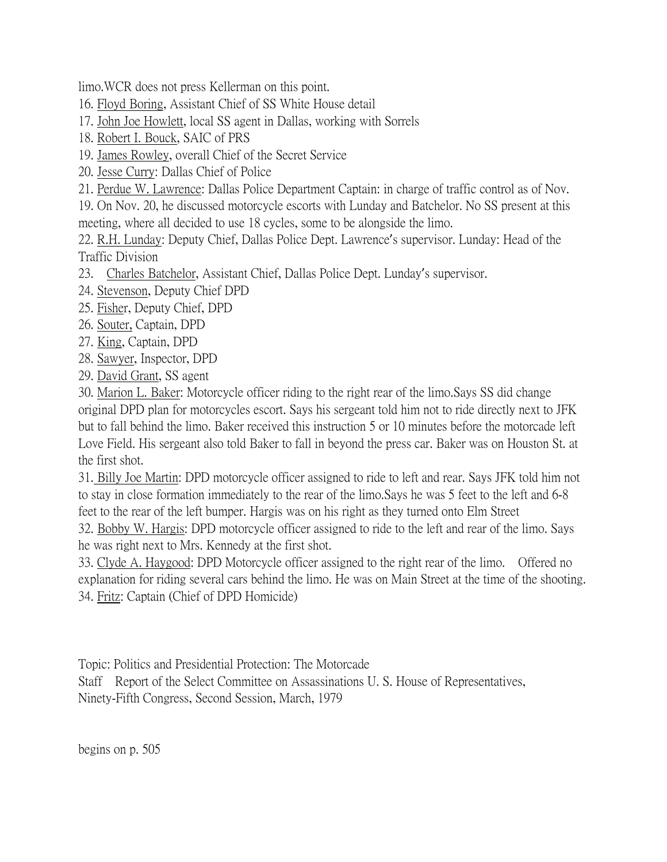limo.WCR does not press Kellerman on this point.

16. Floyd Boring, Assistant Chief of SS White House detail

- 17. John Joe Howlett, local SS agent in Dallas, working with Sorrels
- 18. Robert I. Bouck, SAIC of PRS

19. James Rowley, overall Chief of the Secret Service

20. Jesse Curry: Dallas Chief of Police

21. Perdue W. Lawrence: Dallas Police Department Captain: in charge of traffic control as of Nov.

19. On Nov. 20, he discussed motorcycle escorts with Lunday and Batchelor. No SS present at this meeting, where all decided to use 18 cycles, some to be alongside the limo.

22. R.H. Lunday: Deputy Chief, Dallas Police Dept. Lawrence's supervisor. Lunday: Head of the Traffic Division

- 23. Charles Batchelor, Assistant Chief, Dallas Police Dept. Lunday's supervisor.
- 24. Stevenson, Deputy Chief DPD
- 25. Fisher, Deputy Chief, DPD
- 26. Souter, Captain, DPD
- 27. King, Captain, DPD
- 28. Sawyer, Inspector, DPD
- 29. David Grant, SS agent

30. Marion L. Baker: Motorcycle officer riding to the right rear of the limo.Says SS did change original DPD plan for motorcycles escort. Says his sergeant told him not to ride directly next to JFK but to fall behind the limo. Baker received this instruction 5 or 10 minutes before the motorcade left Love Field. His sergeant also told Baker to fall in beyond the press car. Baker was on Houston St. at the first shot.

31. Billy Joe Martin: DPD motorcycle officer assigned to ride to left and rear. Says JFK told him not to stay in close formation immediately to the rear of the limo.Says he was 5 feet to the left and 6-8 feet to the rear of the left bumper. Hargis was on his right as they turned onto Elm Street

32. Bobby W. Hargis: DPD motorcycle officer assigned to ride to the left and rear of the limo. Says he was right next to Mrs. Kennedy at the first shot.

33. Clyde A. Haygood: DPD Motorcycle officer assigned to the right rear of the limo. Offered no explanation for riding several cars behind the limo. He was on Main Street at the time of the shooting. 34. Fritz: Captain (Chief of DPD Homicide)

Topic: Politics and Presidential Protection: The Motorcade

Staff Report of the Select Committee on Assassinations U. S. House of Representatives, Ninety-Fifth Congress, Second Session, March, 1979

begins on p. 505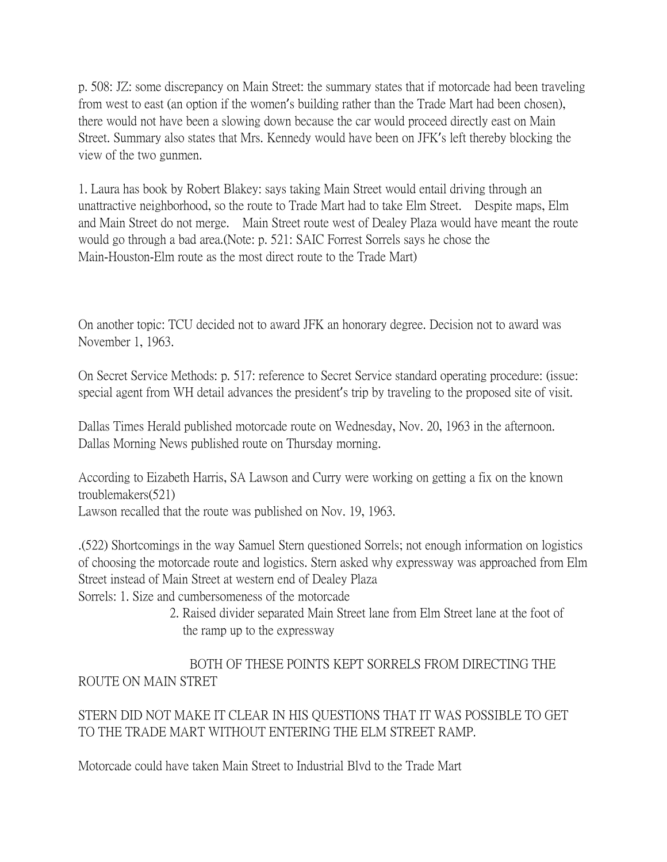p. 508: JZ: some discrepancy on Main Street: the summary states that if motorcade had been traveling from west to east (an option if the women's building rather than the Trade Mart had been chosen), there would not have been a slowing down because the car would proceed directly east on Main Street. Summary also states that Mrs. Kennedy would have been on JFK's left thereby blocking the view of the two gunmen.

1. Laura has book by Robert Blakey: says taking Main Street would entail driving through an unattractive neighborhood, so the route to Trade Mart had to take Elm Street. Despite maps, Elm and Main Street do not merge. Main Street route west of Dealey Plaza would have meant the route would go through a bad area.(Note: p. 521: SAIC Forrest Sorrels says he chose the Main-Houston-Elm route as the most direct route to the Trade Mart)

On another topic: TCU decided not to award JFK an honorary degree. Decision not to award was November 1, 1963.

On Secret Service Methods: p. 517: reference to Secret Service standard operating procedure: (issue: special agent from WH detail advances the president's trip by traveling to the proposed site of visit.

Dallas Times Herald published motorcade route on Wednesday, Nov. 20, 1963 in the afternoon. Dallas Morning News published route on Thursday morning.

According to Eizabeth Harris, SA Lawson and Curry were working on getting a fix on the known troublemakers(521)

Lawson recalled that the route was published on Nov. 19, 1963.

.(522) Shortcomings in the way Samuel Stern questioned Sorrels; not enough information on logistics of choosing the motorcade route and logistics. Stern asked why expressway was approached from Elm Street instead of Main Street at western end of Dealey Plaza

Sorrels: 1. Size and cumbersomeness of the motorcade

 2. Raised divider separated Main Street lane from Elm Street lane at the foot of the ramp up to the expressway

## BOTH OF THESE POINTS KEPT SORRELS FROM DIRECTING THE ROUTE ON MAIN STRET

STERN DID NOT MAKE IT CLEAR IN HIS QUESTIONS THAT IT WAS POSSIBLE TO GET TO THE TRADE MART WITHOUT ENTERING THE ELM STREET RAMP.

Motorcade could have taken Main Street to Industrial Blvd to the Trade Mart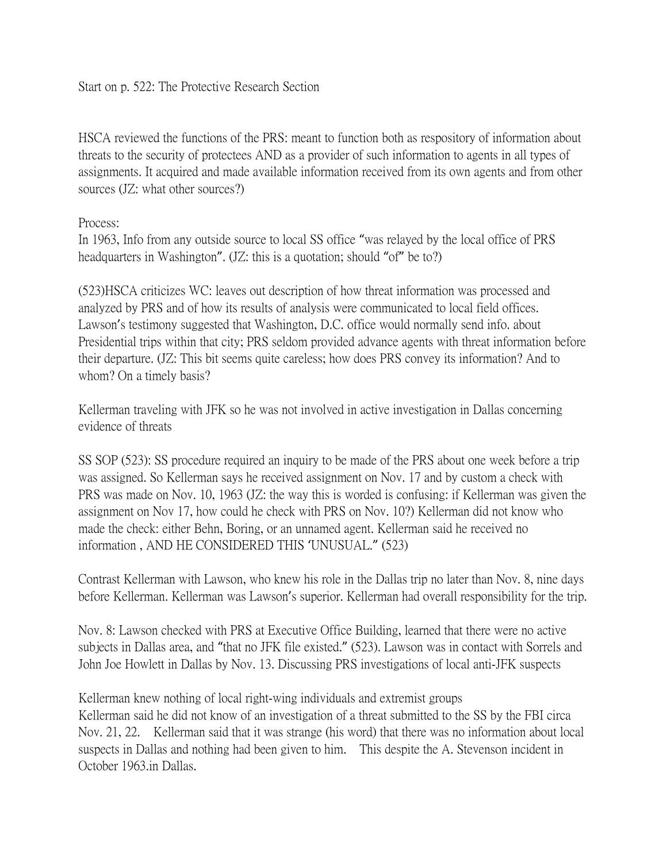HSCA reviewed the functions of the PRS: meant to function both as respository of information about threats to the security of protectees AND as a provider of such information to agents in all types of assignments. It acquired and made available information received from its own agents and from other sources (JZ: what other sources?)

## Process:

In 1963, Info from any outside source to local SS office "was relayed by the local office of PRS headquarters in Washington". (JZ: this is a quotation; should "of" be to?)

(523)HSCA criticizes WC: leaves out description of how threat information was processed and analyzed by PRS and of how its results of analysis were communicated to local field offices. Lawson's testimony suggested that Washington, D.C. office would normally send info. about Presidential trips within that city; PRS seldom provided advance agents with threat information before their departure. (JZ: This bit seems quite careless; how does PRS convey its information? And to whom? On a timely basis?

Kellerman traveling with JFK so he was not involved in active investigation in Dallas concerning evidence of threats

SS SOP (523): SS procedure required an inquiry to be made of the PRS about one week before a trip was assigned. So Kellerman says he received assignment on Nov. 17 and by custom a check with PRS was made on Nov. 10, 1963 (JZ: the way this is worded is confusing: if Kellerman was given the assignment on Nov 17, how could he check with PRS on Nov. 10?) Kellerman did not know who made the check: either Behn, Boring, or an unnamed agent. Kellerman said he received no information , AND HE CONSIDERED THIS 'UNUSUAL." (523)

Contrast Kellerman with Lawson, who knew his role in the Dallas trip no later than Nov. 8, nine days before Kellerman. Kellerman was Lawson's superior. Kellerman had overall responsibility for the trip.

Nov. 8: Lawson checked with PRS at Executive Office Building, learned that there were no active subjects in Dallas area, and "that no JFK file existed." (523). Lawson was in contact with Sorrels and John Joe Howlett in Dallas by Nov. 13. Discussing PRS investigations of local anti-JFK suspects

Kellerman knew nothing of local right-wing individuals and extremist groups Kellerman said he did not know of an investigation of a threat submitted to the SS by the FBI circa Nov. 21, 22. Kellerman said that it was strange (his word) that there was no information about local suspects in Dallas and nothing had been given to him. This despite the A. Stevenson incident in October 1963.in Dallas.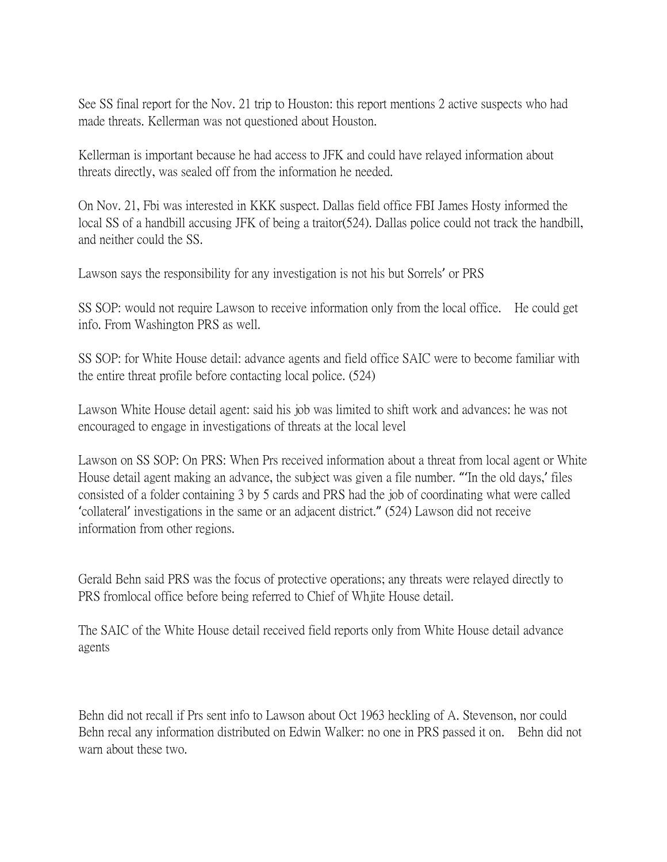See SS final report for the Nov. 21 trip to Houston: this report mentions 2 active suspects who had made threats. Kellerman was not questioned about Houston.

Kellerman is important because he had access to JFK and could have relayed information about threats directly, was sealed off from the information he needed.

On Nov. 21, Fbi was interested in KKK suspect. Dallas field office FBI James Hosty informed the local SS of a handbill accusing JFK of being a traitor(524). Dallas police could not track the handbill, and neither could the SS.

Lawson says the responsibility for any investigation is not his but Sorrels' or PRS

SS SOP: would not require Lawson to receive information only from the local office. He could get info. From Washington PRS as well.

SS SOP: for White House detail: advance agents and field office SAIC were to become familiar with the entire threat profile before contacting local police. (524)

Lawson White House detail agent: said his job was limited to shift work and advances: he was not encouraged to engage in investigations of threats at the local level

Lawson on SS SOP: On PRS: When Prs received information about a threat from local agent or White House detail agent making an advance, the subject was given a file number. "'In the old days,' files consisted of a folder containing 3 by 5 cards and PRS had the job of coordinating what were called 'collateral' investigations in the same or an adjacent district." (524) Lawson did not receive information from other regions.

Gerald Behn said PRS was the focus of protective operations; any threats were relayed directly to PRS fromlocal office before being referred to Chief of Whjite House detail.

The SAIC of the White House detail received field reports only from White House detail advance agents

Behn did not recall if Prs sent info to Lawson about Oct 1963 heckling of A. Stevenson, nor could Behn recal any information distributed on Edwin Walker: no one in PRS passed it on. Behn did not warn about these two.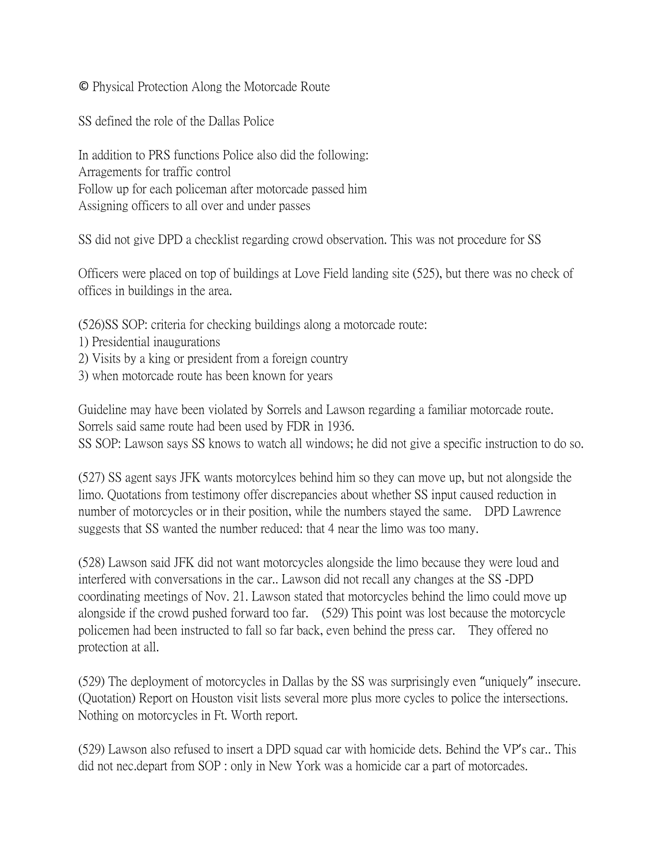© Physical Protection Along the Motorcade Route

SS defined the role of the Dallas Police

In addition to PRS functions Police also did the following: Arragements for traffic control Follow up for each policeman after motorcade passed him Assigning officers to all over and under passes

SS did not give DPD a checklist regarding crowd observation. This was not procedure for SS

Officers were placed on top of buildings at Love Field landing site (525), but there was no check of offices in buildings in the area.

(526)SS SOP: criteria for checking buildings along a motorcade route:

- 1) Presidential inaugurations
- 2) Visits by a king or president from a foreign country
- 3) when motorcade route has been known for years

Guideline may have been violated by Sorrels and Lawson regarding a familiar motorcade route. Sorrels said same route had been used by FDR in 1936.

SS SOP: Lawson says SS knows to watch all windows; he did not give a specific instruction to do so.

(527) SS agent says JFK wants motorcylces behind him so they can move up, but not alongside the limo. Quotations from testimony offer discrepancies about whether SS input caused reduction in number of motorcycles or in their position, while the numbers stayed the same. DPD Lawrence suggests that SS wanted the number reduced: that 4 near the limo was too many.

(528) Lawson said JFK did not want motorcycles alongside the limo because they were loud and interfered with conversations in the car.. Lawson did not recall any changes at the SS -DPD coordinating meetings of Nov. 21. Lawson stated that motorcycles behind the limo could move up alongside if the crowd pushed forward too far. (529) This point was lost because the motorcycle policemen had been instructed to fall so far back, even behind the press car. They offered no protection at all.

(529) The deployment of motorcycles in Dallas by the SS was surprisingly even "uniquely" insecure. (Quotation) Report on Houston visit lists several more plus more cycles to police the intersections. Nothing on motorcycles in Ft. Worth report.

(529) Lawson also refused to insert a DPD squad car with homicide dets. Behind the VP's car.. This did not nec.depart from SOP : only in New York was a homicide car a part of motorcades.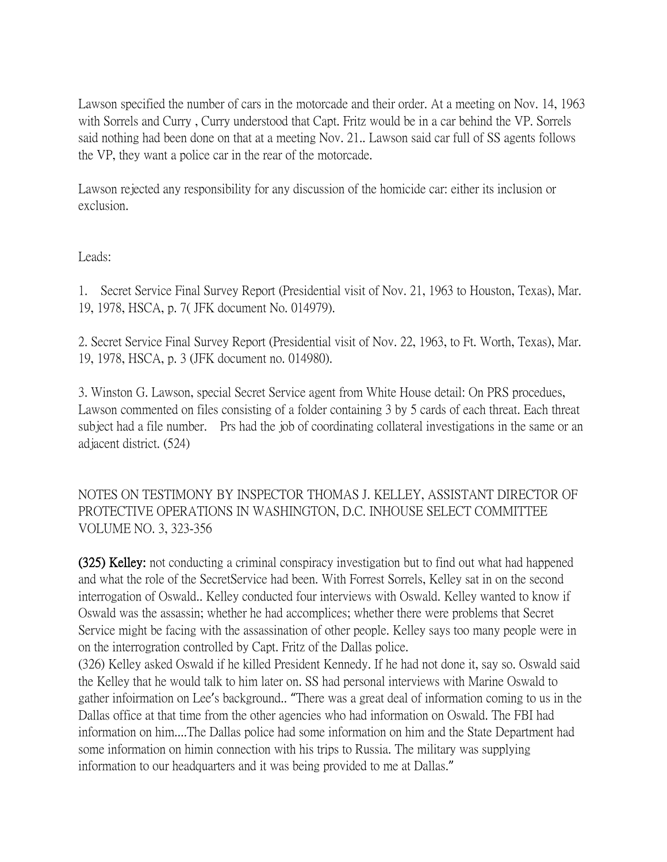Lawson specified the number of cars in the motorcade and their order. At a meeting on Nov. 14, 1963 with Sorrels and Curry , Curry understood that Capt. Fritz would be in a car behind the VP. Sorrels said nothing had been done on that at a meeting Nov. 21.. Lawson said car full of SS agents follows the VP, they want a police car in the rear of the motorcade.

Lawson rejected any responsibility for any discussion of the homicide car: either its inclusion or exclusion.

Leads:

1. Secret Service Final Survey Report (Presidential visit of Nov. 21, 1963 to Houston, Texas), Mar. 19, 1978, HSCA, p. 7( JFK document No. 014979).

2. Secret Service Final Survey Report (Presidential visit of Nov. 22, 1963, to Ft. Worth, Texas), Mar. 19, 1978, HSCA, p. 3 (JFK document no. 014980).

3. Winston G. Lawson, special Secret Service agent from White House detail: On PRS procedues, Lawson commented on files consisting of a folder containing 3 by 5 cards of each threat. Each threat subject had a file number. Prs had the job of coordinating collateral investigations in the same or an adjacent district. (524)

NOTES ON TESTIMONY BY INSPECTOR THOMAS J. KELLEY, ASSISTANT DIRECTOR OF PROTECTIVE OPERATIONS IN WASHINGTON, D.C. INHOUSE SELECT COMMITTEE VOLUME NO. 3, 323-356

(325) Kelley: not conducting a criminal conspiracy investigation but to find out what had happened and what the role of the SecretService had been. With Forrest Sorrels, Kelley sat in on the second interrogation of Oswald.. Kelley conducted four interviews with Oswald. Kelley wanted to know if Oswald was the assassin; whether he had accomplices; whether there were problems that Secret Service might be facing with the assassination of other people. Kelley says too many people were in on the interrogration controlled by Capt. Fritz of the Dallas police.

(326) Kelley asked Oswald if he killed President Kennedy. If he had not done it, say so. Oswald said the Kelley that he would talk to him later on. SS had personal interviews with Marine Oswald to gather infoirmation on Lee's background.. "There was a great deal of information coming to us in the Dallas office at that time from the other agencies who had information on Oswald. The FBI had information on him....The Dallas police had some information on him and the State Department had some information on himin connection with his trips to Russia. The military was supplying information to our headquarters and it was being provided to me at Dallas."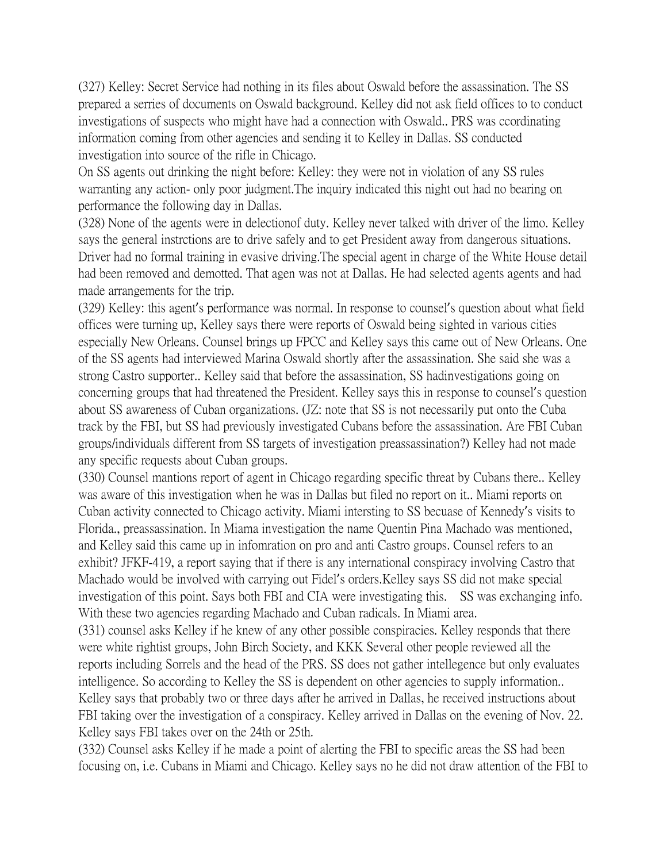(327) Kelley: Secret Service had nothing in its files about Oswald before the assassination. The SS prepared a serries of documents on Oswald background. Kelley did not ask field offices to to conduct investigations of suspects who might have had a connection with Oswald.. PRS was ccordinating information coming from other agencies and sending it to Kelley in Dallas. SS conducted investigation into source of the rifle in Chicago.

On SS agents out drinking the night before: Kelley: they were not in violation of any SS rules warranting any action- only poor judgment.The inquiry indicated this night out had no bearing on performance the following day in Dallas.

(328) None of the agents were in delectionof duty. Kelley never talked with driver of the limo. Kelley says the general instrctions are to drive safely and to get President away from dangerous situations. Driver had no formal training in evasive driving.The special agent in charge of the White House detail had been removed and demotted. That agen was not at Dallas. He had selected agents agents and had made arrangements for the trip.

(329) Kelley: this agent's performance was normal. In response to counsel's question about what field offices were turning up, Kelley says there were reports of Oswald being sighted in various cities especially New Orleans. Counsel brings up FPCC and Kelley says this came out of New Orleans. One of the SS agents had interviewed Marina Oswald shortly after the assassination. She said she was a strong Castro supporter.. Kelley said that before the assassination, SS hadinvestigations going on concerning groups that had threatened the President. Kelley says this in response to counsel's question about SS awareness of Cuban organizations. (JZ: note that SS is not necessarily put onto the Cuba track by the FBI, but SS had previously investigated Cubans before the assassination. Are FBI Cuban groups/individuals different from SS targets of investigation preassassination?) Kelley had not made any specific requests about Cuban groups.

(330) Counsel mantions report of agent in Chicago regarding specific threat by Cubans there.. Kelley was aware of this investigation when he was in Dallas but filed no report on it.. Miami reports on Cuban activity connected to Chicago activity. Miami intersting to SS becuase of Kennedy's visits to Florida., preassassination. In Miama investigation the name Quentin Pina Machado was mentioned, and Kelley said this came up in infomration on pro and anti Castro groups. Counsel refers to an exhibit? JFKF-419, a report saying that if there is any international conspiracy involving Castro that Machado would be involved with carrying out Fidel's orders.Kelley says SS did not make special investigation of this point. Says both FBI and CIA were investigating this. SS was exchanging info. With these two agencies regarding Machado and Cuban radicals. In Miami area.

(331) counsel asks Kelley if he knew of any other possible conspiracies. Kelley responds that there were white rightist groups, John Birch Society, and KKK Several other people reviewed all the reports including Sorrels and the head of the PRS. SS does not gather intellegence but only evaluates intelligence. So according to Kelley the SS is dependent on other agencies to supply information.. Kelley says that probably two or three days after he arrived in Dallas, he received instructions about FBI taking over the investigation of a conspiracy. Kelley arrived in Dallas on the evening of Nov. 22. Kelley says FBI takes over on the 24th or 25th.

(332) Counsel asks Kelley if he made a point of alerting the FBI to specific areas the SS had been focusing on, i.e. Cubans in Miami and Chicago. Kelley says no he did not draw attention of the FBI to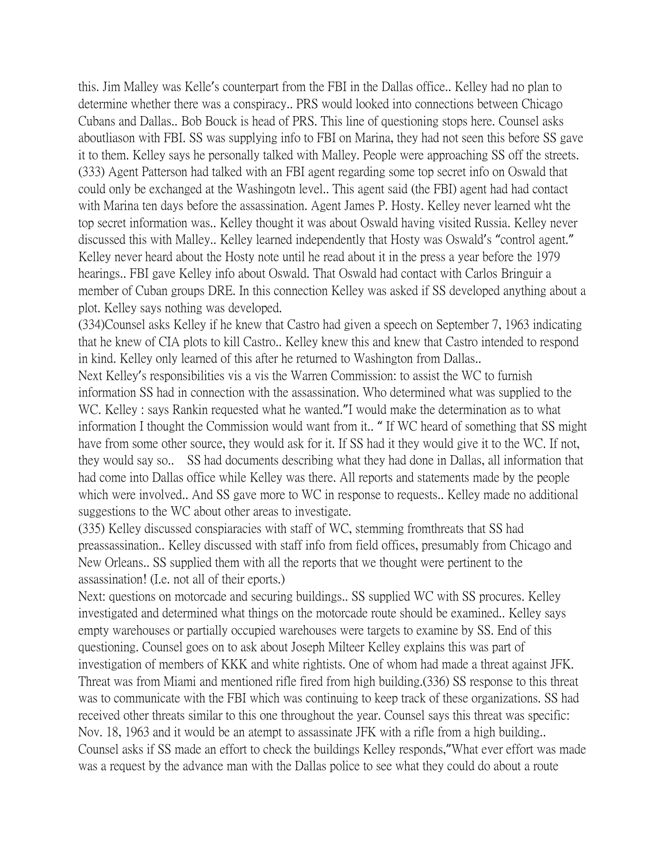this. Jim Malley was Kelle's counterpart from the FBI in the Dallas office.. Kelley had no plan to determine whether there was a conspiracy.. PRS would looked into connections between Chicago Cubans and Dallas.. Bob Bouck is head of PRS. This line of questioning stops here. Counsel asks aboutliason with FBI. SS was supplying info to FBI on Marina, they had not seen this before SS gave it to them. Kelley says he personally talked with Malley. People were approaching SS off the streets. (333) Agent Patterson had talked with an FBI agent regarding some top secret info on Oswald that could only be exchanged at the Washingotn level.. This agent said (the FBI) agent had had contact with Marina ten days before the assassination. Agent James P. Hosty. Kelley never learned wht the top secret information was.. Kelley thought it was about Oswald having visited Russia. Kelley never discussed this with Malley.. Kelley learned independently that Hosty was Oswald's "control agent." Kelley never heard about the Hosty note until he read about it in the press a year before the 1979 hearings.. FBI gave Kelley info about Oswald. That Oswald had contact with Carlos Bringuir a member of Cuban groups DRE. In this connection Kelley was asked if SS developed anything about a plot. Kelley says nothing was developed.

(334)Counsel asks Kelley if he knew that Castro had given a speech on September 7, 1963 indicating that he knew of CIA plots to kill Castro.. Kelley knew this and knew that Castro intended to respond in kind. Kelley only learned of this after he returned to Washington from Dallas..

Next Kelley's responsibilities vis a vis the Warren Commission: to assist the WC to furnish information SS had in connection with the assassination. Who determined what was supplied to the WC. Kelley : says Rankin requested what he wanted."I would make the determination as to what information I thought the Commission would want from it.. " If WC heard of something that SS might have from some other source, they would ask for it. If SS had it they would give it to the WC. If not, they would say so.. SS had documents describing what they had done in Dallas, all information that had come into Dallas office while Kelley was there. All reports and statements made by the people which were involved.. And SS gave more to WC in response to requests.. Kelley made no additional suggestions to the WC about other areas to investigate.

(335) Kelley discussed conspiaracies with staff of WC, stemming fromthreats that SS had preassassination.. Kelley discussed with staff info from field offices, presumably from Chicago and New Orleans.. SS supplied them with all the reports that we thought were pertinent to the assassination! (I.e. not all of their eports.)

Next: questions on motorcade and securing buildings.. SS supplied WC with SS procures. Kelley investigated and determined what things on the motorcade route should be examined.. Kelley says empty warehouses or partially occupied warehouses were targets to examine by SS. End of this questioning. Counsel goes on to ask about Joseph Milteer Kelley explains this was part of investigation of members of KKK and white rightists. One of whom had made a threat against JFK. Threat was from Miami and mentioned rifle fired from high building.(336) SS response to this threat was to communicate with the FBI which was continuing to keep track of these organizations. SS had received other threats similar to this one throughout the year. Counsel says this threat was specific: Nov. 18, 1963 and it would be an atempt to assassinate JFK with a rifle from a high building.. Counsel asks if SS made an effort to check the buildings Kelley responds,"What ever effort was made was a request by the advance man with the Dallas police to see what they could do about a route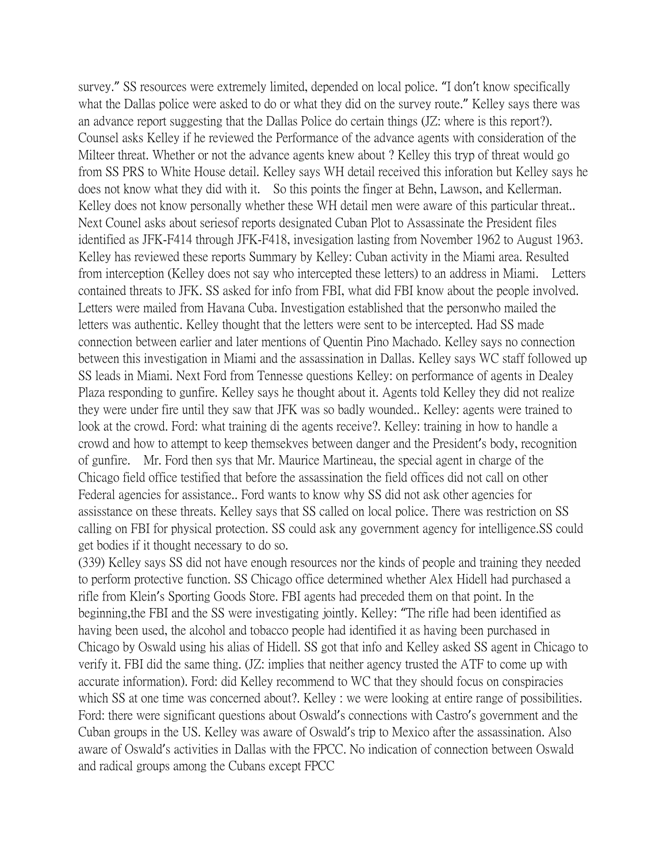survey." SS resources were extremely limited, depended on local police. "I don't know specifically what the Dallas police were asked to do or what they did on the survey route." Kelley says there was an advance report suggesting that the Dallas Police do certain things (JZ: where is this report?). Counsel asks Kelley if he reviewed the Performance of the advance agents with consideration of the Milteer threat. Whether or not the advance agents knew about ? Kelley this tryp of threat would go from SS PRS to White House detail. Kelley says WH detail received this inforation but Kelley says he does not know what they did with it. So this points the finger at Behn, Lawson, and Kellerman. Kelley does not know personally whether these WH detail men were aware of this particular threat... Next Counel asks about seriesof reports designated Cuban Plot to Assassinate the President files identified as JFK-F414 through JFK-F418, invesigation lasting from November 1962 to August 1963. Kelley has reviewed these reports Summary by Kelley: Cuban activity in the Miami area. Resulted from interception (Kelley does not say who intercepted these letters) to an address in Miami. Letters contained threats to JFK. SS asked for info from FBI, what did FBI know about the people involved. Letters were mailed from Havana Cuba. Investigation established that the personwho mailed the letters was authentic. Kelley thought that the letters were sent to be intercepted. Had SS made connection between earlier and later mentions of Quentin Pino Machado. Kelley says no connection between this investigation in Miami and the assassination in Dallas. Kelley says WC staff followed up SS leads in Miami. Next Ford from Tennesse questions Kelley: on performance of agents in Dealey Plaza responding to gunfire. Kelley says he thought about it. Agents told Kelley they did not realize they were under fire until they saw that JFK was so badly wounded.. Kelley: agents were trained to look at the crowd. Ford: what training di the agents receive?. Kelley: training in how to handle a crowd and how to attempt to keep themsekves between danger and the President's body, recognition of gunfire. Mr. Ford then sys that Mr. Maurice Martineau, the special agent in charge of the Chicago field office testified that before the assassination the field offices did not call on other Federal agencies for assistance.. Ford wants to know why SS did not ask other agencies for assisstance on these threats. Kelley says that SS called on local police. There was restriction on SS calling on FBI for physical protection. SS could ask any government agency for intelligence.SS could get bodies if it thought necessary to do so.

(339) Kelley says SS did not have enough resources nor the kinds of people and training they needed to perform protective function. SS Chicago office determined whether Alex Hidell had purchased a rifle from Klein's Sporting Goods Store. FBI agents had preceded them on that point. In the beginning,the FBI and the SS were investigating jointly. Kelley: "The rifle had been identified as having been used, the alcohol and tobacco people had identified it as having been purchased in Chicago by Oswald using his alias of Hidell. SS got that info and Kelley asked SS agent in Chicago to verify it. FBI did the same thing. (JZ: implies that neither agency trusted the ATF to come up with accurate information). Ford: did Kelley recommend to WC that they should focus on conspiracies which SS at one time was concerned about?. Kelley : we were looking at entire range of possibilities. Ford: there were significant questions about Oswald's connections with Castro's government and the Cuban groups in the US. Kelley was aware of Oswald's trip to Mexico after the assassination. Also aware of Oswald's activities in Dallas with the FPCC. No indication of connection between Oswald and radical groups among the Cubans except FPCC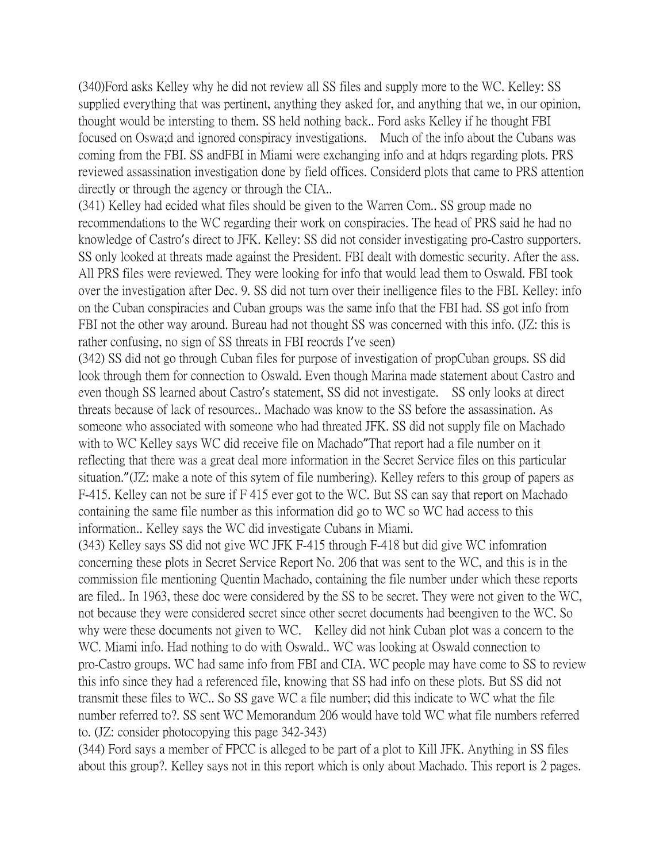(340)Ford asks Kelley why he did not review all SS files and supply more to the WC. Kelley: SS supplied everything that was pertinent, anything they asked for, and anything that we, in our opinion, thought would be intersting to them. SS held nothing back.. Ford asks Kelley if he thought FBI focused on Oswa;d and ignored conspiracy investigations. Much of the info about the Cubans was coming from the FBI. SS andFBI in Miami were exchanging info and at hdqrs regarding plots. PRS reviewed assassination investigation done by field offices. Considerd plots that came to PRS attention directly or through the agency or through the CIA..

(341) Kelley had ecided what files should be given to the Warren Com.. SS group made no recommendations to the WC regarding their work on conspiracies. The head of PRS said he had no knowledge of Castro's direct to JFK. Kelley: SS did not consider investigating pro-Castro supporters. SS only looked at threats made against the President. FBI dealt with domestic security. After the ass. All PRS files were reviewed. They were looking for info that would lead them to Oswald. FBI took over the investigation after Dec. 9. SS did not turn over their inelligence files to the FBI. Kelley: info on the Cuban conspiracies and Cuban groups was the same info that the FBI had. SS got info from FBI not the other way around. Bureau had not thought SS was concerned with this info. (JZ: this is rather confusing, no sign of SS threats in FBI reocrds I've seen)

(342) SS did not go through Cuban files for purpose of investigation of propCuban groups. SS did look through them for connection to Oswald. Even though Marina made statement about Castro and even though SS learned about Castro's statement, SS did not investigate. SS only looks at direct threats because of lack of resources.. Machado was know to the SS before the assassination. As someone who associated with someone who had threated JFK. SS did not supply file on Machado with to WC Kelley says WC did receive file on Machado"That report had a file number on it reflecting that there was a great deal more information in the Secret Service files on this particular situation."(JZ: make a note of this sytem of file numbering). Kelley refers to this group of papers as F-415. Kelley can not be sure if F 415 ever got to the WC. But SS can say that report on Machado containing the same file number as this information did go to WC so WC had access to this information.. Kelley says the WC did investigate Cubans in Miami.

(343) Kelley says SS did not give WC JFK F-415 through F-418 but did give WC infomration concerning these plots in Secret Service Report No. 206 that was sent to the WC, and this is in the commission file mentioning Quentin Machado, containing the file number under which these reports are filed.. In 1963, these doc were considered by the SS to be secret. They were not given to the WC, not because they were considered secret since other secret documents had beengiven to the WC. So why were these documents not given to WC. Kelley did not hink Cuban plot was a concern to the WC. Miami info. Had nothing to do with Oswald.. WC was looking at Oswald connection to pro-Castro groups. WC had same info from FBI and CIA. WC people may have come to SS to review this info since they had a referenced file, knowing that SS had info on these plots. But SS did not transmit these files to WC.. So SS gave WC a file number; did this indicate to WC what the file number referred to?. SS sent WC Memorandum 206 would have told WC what file numbers referred to. (JZ: consider photocopying this page 342-343)

(344) Ford says a member of FPCC is alleged to be part of a plot to Kill JFK. Anything in SS files about this group?. Kelley says not in this report which is only about Machado. This report is 2 pages.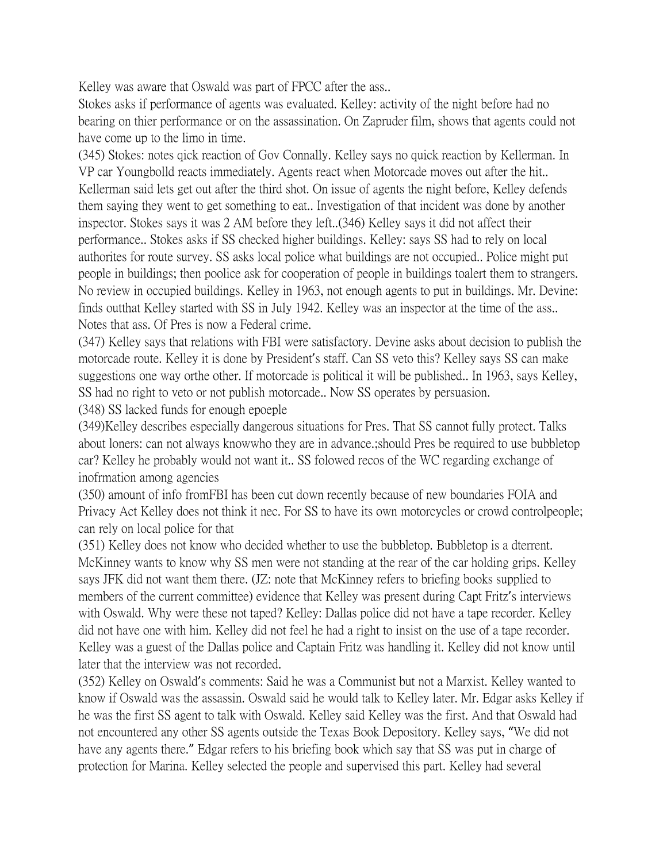Kelley was aware that Oswald was part of FPCC after the ass...

Stokes asks if performance of agents was evaluated. Kelley: activity of the night before had no bearing on thier performance or on the assassination. On Zapruder film, shows that agents could not have come up to the limo in time.

(345) Stokes: notes qick reaction of Gov Connally. Kelley says no quick reaction by Kellerman. In VP car Youngbolld reacts immediately. Agents react when Motorcade moves out after the hit.. Kellerman said lets get out after the third shot. On issue of agents the night before, Kelley defends them saying they went to get something to eat.. Investigation of that incident was done by another inspector. Stokes says it was 2 AM before they left..(346) Kelley says it did not affect their performance.. Stokes asks if SS checked higher buildings. Kelley: says SS had to rely on local authorites for route survey. SS asks local police what buildings are not occupied.. Police might put people in buildings; then poolice ask for cooperation of people in buildings toalert them to strangers. No review in occupied buildings. Kelley in 1963, not enough agents to put in buildings. Mr. Devine: finds outthat Kelley started with SS in July 1942. Kelley was an inspector at the time of the ass.. Notes that ass. Of Pres is now a Federal crime.

(347) Kelley says that relations with FBI were satisfactory. Devine asks about decision to publish the motorcade route. Kelley it is done by President's staff. Can SS veto this? Kelley says SS can make suggestions one way orthe other. If motorcade is political it will be published.. In 1963, says Kelley, SS had no right to veto or not publish motorcade.. Now SS operates by persuasion. (348) SS lacked funds for enough epoeple

(349)Kelley describes especially dangerous situations for Pres. That SS cannot fully protect. Talks about loners: can not always knowwho they are in advance.;should Pres be required to use bubbletop car? Kelley he probably would not want it.. SS folowed recos of the WC regarding exchange of inofrmation among agencies

(350) amount of info fromFBI has been cut down recently because of new boundaries FOIA and Privacy Act Kelley does not think it nec. For SS to have its own motorcycles or crowd controlpeople; can rely on local police for that

(351) Kelley does not know who decided whether to use the bubbletop. Bubbletop is a dterrent. McKinney wants to know why SS men were not standing at the rear of the car holding grips. Kelley says JFK did not want them there. (JZ: note that McKinney refers to briefing books supplied to members of the current committee) evidence that Kelley was present during Capt Fritz's interviews with Oswald. Why were these not taped? Kelley: Dallas police did not have a tape recorder. Kelley did not have one with him. Kelley did not feel he had a right to insist on the use of a tape recorder. Kelley was a guest of the Dallas police and Captain Fritz was handling it. Kelley did not know until later that the interview was not recorded.

(352) Kelley on Oswald's comments: Said he was a Communist but not a Marxist. Kelley wanted to know if Oswald was the assassin. Oswald said he would talk to Kelley later. Mr. Edgar asks Kelley if he was the first SS agent to talk with Oswald. Kelley said Kelley was the first. And that Oswald had not encountered any other SS agents outside the Texas Book Depository. Kelley says, "We did not have any agents there." Edgar refers to his briefing book which say that SS was put in charge of protection for Marina. Kelley selected the people and supervised this part. Kelley had several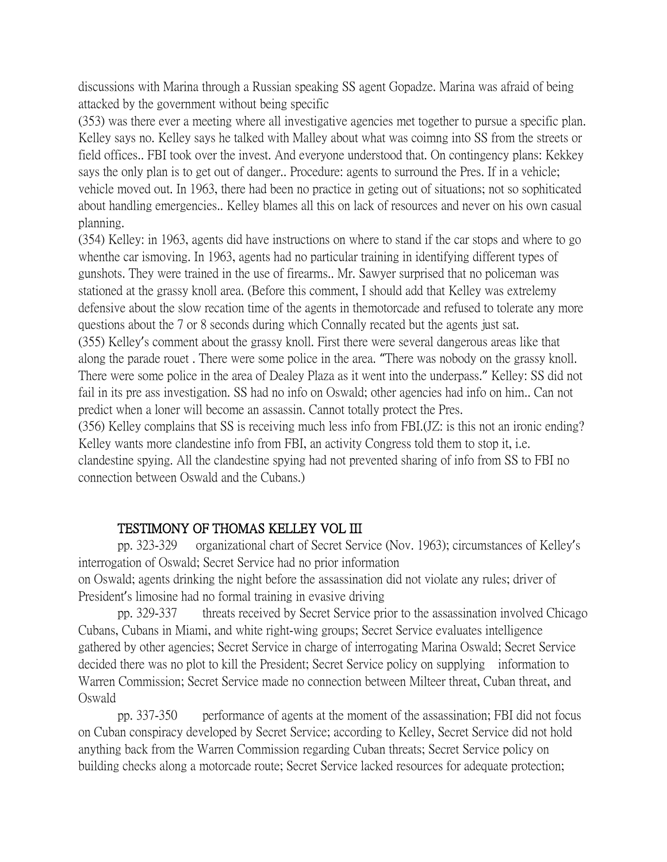discussions with Marina through a Russian speaking SS agent Gopadze. Marina was afraid of being attacked by the government without being specific

(353) was there ever a meeting where all investigative agencies met together to pursue a specific plan. Kelley says no. Kelley says he talked with Malley about what was coimng into SS from the streets or field offices.. FBI took over the invest. And everyone understood that. On contingency plans: Kekkey says the only plan is to get out of danger.. Procedure: agents to surround the Pres. If in a vehicle; vehicle moved out. In 1963, there had been no practice in geting out of situations; not so sophiticated about handling emergencies.. Kelley blames all this on lack of resources and never on his own casual planning.

(354) Kelley: in 1963, agents did have instructions on where to stand if the car stops and where to go whenthe car ismoving. In 1963, agents had no particular training in identifying different types of gunshots. They were trained in the use of firearms.. Mr. Sawyer surprised that no policeman was stationed at the grassy knoll area. (Before this comment, I should add that Kelley was extrelemy defensive about the slow recation time of the agents in themotorcade and refused to tolerate any more questions about the 7 or 8 seconds during which Connally recated but the agents just sat.

(355) Kelley's comment about the grassy knoll. First there were several dangerous areas like that along the parade rouet . There were some police in the area. "There was nobody on the grassy knoll. There were some police in the area of Dealey Plaza as it went into the underpass." Kelley: SS did not fail in its pre ass investigation. SS had no info on Oswald; other agencies had info on him.. Can not predict when a loner will become an assassin. Cannot totally protect the Pres.

(356) Kelley complains that SS is receiving much less info from FBI.(JZ: is this not an ironic ending? Kelley wants more clandestine info from FBI, an activity Congress told them to stop it, i.e. clandestine spying. All the clandestine spying had not prevented sharing of info from SS to FBI no connection between Oswald and the Cubans.)

## TESTIMONY OF THOMAS KELLEY VOL III

pp. 323-329 organizational chart of Secret Service (Nov. 1963); circumstances of Kelley's interrogation of Oswald; Secret Service had no prior information on Oswald; agents drinking the night before the assassination did not violate any rules; driver of

President's limosine had no formal training in evasive driving

pp. 329-337 threats received by Secret Service prior to the assassination involved Chicago Cubans, Cubans in Miami, and white right-wing groups; Secret Service evaluates intelligence gathered by other agencies; Secret Service in charge of interrogating Marina Oswald; Secret Service decided there was no plot to kill the President; Secret Service policy on supplying information to Warren Commission; Secret Service made no connection between Milteer threat, Cuban threat, and Oswald

pp. 337-350 performance of agents at the moment of the assassination; FBI did not focus on Cuban conspiracy developed by Secret Service; according to Kelley, Secret Service did not hold anything back from the Warren Commission regarding Cuban threats; Secret Service policy on building checks along a motorcade route; Secret Service lacked resources for adequate protection;